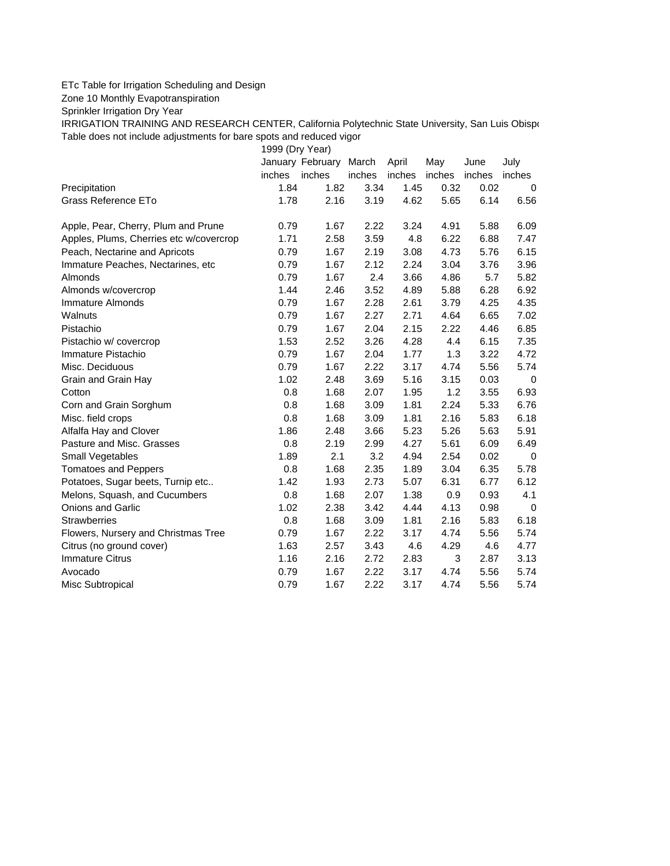## ETc Table for Irrigation Scheduling and Design

Zone 10 Monthly Evapotranspiration

Sprinkler Irrigation Dry Year

IRRIGATION TRAINING AND RESEARCH CENTER, California Polytechnic State University, San Luis Obispo Table does not include adjustments for bare spots and reduced vigor

1999 (Dry Year)

|                                         |        | January February | March  | April  | May    | June   | July        |
|-----------------------------------------|--------|------------------|--------|--------|--------|--------|-------------|
|                                         | inches | inches           | inches | inches | inches | inches | inches      |
| Precipitation                           | 1.84   | 1.82             | 3.34   | 1.45   | 0.32   | 0.02   | 0           |
| <b>Grass Reference ETo</b>              | 1.78   | 2.16             | 3.19   | 4.62   | 5.65   | 6.14   | 6.56        |
| Apple, Pear, Cherry, Plum and Prune     | 0.79   | 1.67             | 2.22   | 3.24   | 4.91   | 5.88   | 6.09        |
| Apples, Plums, Cherries etc w/covercrop | 1.71   | 2.58             | 3.59   | 4.8    | 6.22   | 6.88   | 7.47        |
| Peach, Nectarine and Apricots           | 0.79   | 1.67             | 2.19   | 3.08   | 4.73   | 5.76   | 6.15        |
| Immature Peaches, Nectarines, etc.      | 0.79   | 1.67             | 2.12   | 2.24   | 3.04   | 3.76   | 3.96        |
| Almonds                                 | 0.79   | 1.67             | 2.4    | 3.66   | 4.86   | 5.7    | 5.82        |
| Almonds w/covercrop                     | 1.44   | 2.46             | 3.52   | 4.89   | 5.88   | 6.28   | 6.92        |
| Immature Almonds                        | 0.79   | 1.67             | 2.28   | 2.61   | 3.79   | 4.25   | 4.35        |
| Walnuts                                 | 0.79   | 1.67             | 2.27   | 2.71   | 4.64   | 6.65   | 7.02        |
| Pistachio                               | 0.79   | 1.67             | 2.04   | 2.15   | 2.22   | 4.46   | 6.85        |
| Pistachio w/ covercrop                  | 1.53   | 2.52             | 3.26   | 4.28   | 4.4    | 6.15   | 7.35        |
| Immature Pistachio                      | 0.79   | 1.67             | 2.04   | 1.77   | 1.3    | 3.22   | 4.72        |
| Misc. Deciduous                         | 0.79   | 1.67             | 2.22   | 3.17   | 4.74   | 5.56   | 5.74        |
| Grain and Grain Hay                     | 1.02   | 2.48             | 3.69   | 5.16   | 3.15   | 0.03   | 0           |
| Cotton                                  | 0.8    | 1.68             | 2.07   | 1.95   | 1.2    | 3.55   | 6.93        |
| Corn and Grain Sorghum                  | 0.8    | 1.68             | 3.09   | 1.81   | 2.24   | 5.33   | 6.76        |
| Misc. field crops                       | 0.8    | 1.68             | 3.09   | 1.81   | 2.16   | 5.83   | 6.18        |
| Alfalfa Hay and Clover                  | 1.86   | 2.48             | 3.66   | 5.23   | 5.26   | 5.63   | 5.91        |
| Pasture and Misc. Grasses               | 0.8    | 2.19             | 2.99   | 4.27   | 5.61   | 6.09   | 6.49        |
| Small Vegetables                        | 1.89   | 2.1              | 3.2    | 4.94   | 2.54   | 0.02   | 0           |
| <b>Tomatoes and Peppers</b>             | 0.8    | 1.68             | 2.35   | 1.89   | 3.04   | 6.35   | 5.78        |
| Potatoes, Sugar beets, Turnip etc       | 1.42   | 1.93             | 2.73   | 5.07   | 6.31   | 6.77   | 6.12        |
| Melons, Squash, and Cucumbers           | 0.8    | 1.68             | 2.07   | 1.38   | 0.9    | 0.93   | 4.1         |
| Onions and Garlic                       | 1.02   | 2.38             | 3.42   | 4.44   | 4.13   | 0.98   | $\mathbf 0$ |
| <b>Strawberries</b>                     | 0.8    | 1.68             | 3.09   | 1.81   | 2.16   | 5.83   | 6.18        |
| Flowers, Nursery and Christmas Tree     | 0.79   | 1.67             | 2.22   | 3.17   | 4.74   | 5.56   | 5.74        |
| Citrus (no ground cover)                | 1.63   | 2.57             | 3.43   | 4.6    | 4.29   | 4.6    | 4.77        |
| <b>Immature Citrus</b>                  | 1.16   | 2.16             | 2.72   | 2.83   | 3      | 2.87   | 3.13        |
| Avocado                                 | 0.79   | 1.67             | 2.22   | 3.17   | 4.74   | 5.56   | 5.74        |
| Misc Subtropical                        | 0.79   | 1.67             | 2.22   | 3.17   | 4.74   | 5.56   | 5.74        |